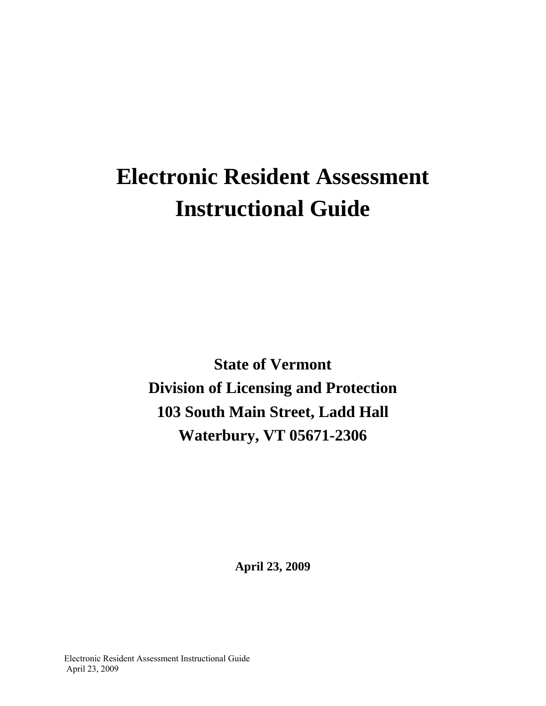# **Electronic Resident Assessment Instructional Guide**

**State of Vermont Division of Licensing and Protection 103 South Main Street, Ladd Hall Waterbury, VT 05671-2306** 

**April 23, 2009**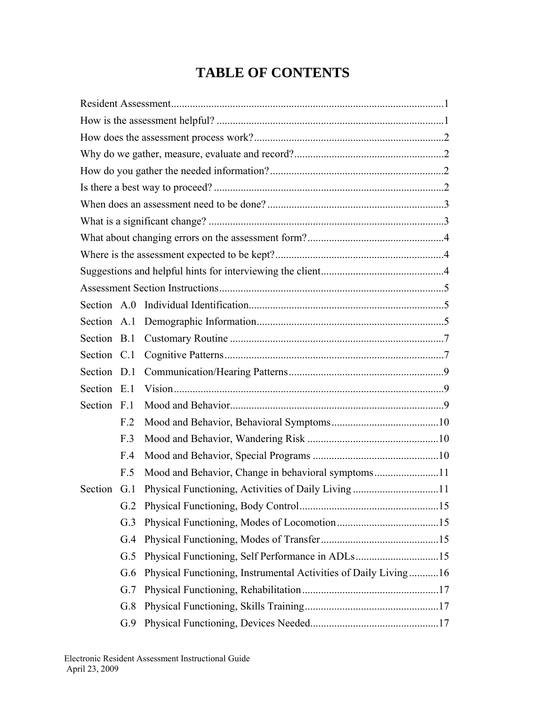# **TABLE OF CONTENTS**

| Section A.0 |                 |                                                                 |  |  |  |
|-------------|-----------------|-----------------------------------------------------------------|--|--|--|
| Section A.1 |                 |                                                                 |  |  |  |
| Section B.1 |                 |                                                                 |  |  |  |
| Section C.1 |                 |                                                                 |  |  |  |
| Section D.1 |                 |                                                                 |  |  |  |
| Section E.1 |                 |                                                                 |  |  |  |
| Section F.1 |                 |                                                                 |  |  |  |
|             | F <sub>12</sub> |                                                                 |  |  |  |
|             | F.3             |                                                                 |  |  |  |
|             | F.4             |                                                                 |  |  |  |
|             | F.5             | Mood and Behavior, Change in behavioral symptoms11              |  |  |  |
| Section     | G.1             | Physical Functioning, Activities of Daily Living11              |  |  |  |
|             | G.2             |                                                                 |  |  |  |
|             | G.3             |                                                                 |  |  |  |
|             | G.4             |                                                                 |  |  |  |
|             | G.5             |                                                                 |  |  |  |
|             | G.6             | Physical Functioning, Instrumental Activities of Daily Living16 |  |  |  |
|             | G.7             |                                                                 |  |  |  |
|             | G.8             |                                                                 |  |  |  |
|             | G.9             |                                                                 |  |  |  |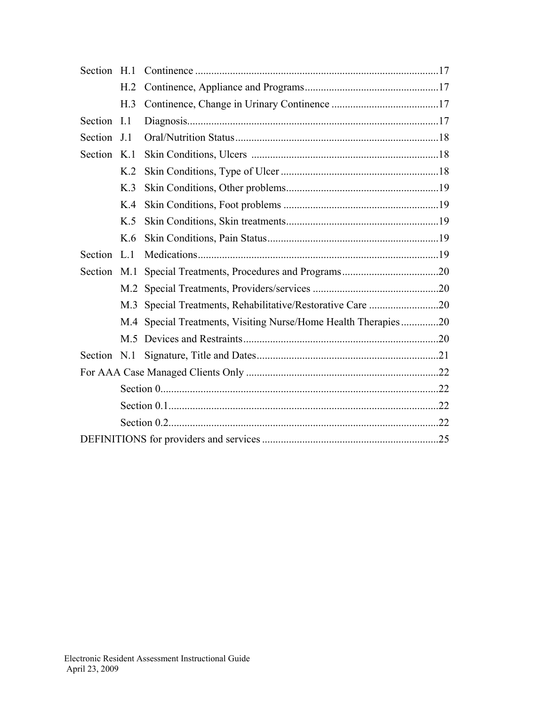| Section     | H.1            |                                                                |  |  |  |
|-------------|----------------|----------------------------------------------------------------|--|--|--|
|             | H <sub>2</sub> |                                                                |  |  |  |
|             | H.3            |                                                                |  |  |  |
| Section     | I.1            |                                                                |  |  |  |
| Section     | J.1            |                                                                |  |  |  |
| Section K.1 |                |                                                                |  |  |  |
|             | K <sub>2</sub> |                                                                |  |  |  |
|             | K <sub>3</sub> |                                                                |  |  |  |
|             | K.4            |                                                                |  |  |  |
|             | K.5            |                                                                |  |  |  |
|             | K.6            |                                                                |  |  |  |
| Section     | L.1            |                                                                |  |  |  |
| Section     | M.1            |                                                                |  |  |  |
|             | M.2            |                                                                |  |  |  |
|             |                |                                                                |  |  |  |
|             |                | M.4 Special Treatments, Visiting Nurse/Home Health Therapies20 |  |  |  |
|             |                |                                                                |  |  |  |
|             |                |                                                                |  |  |  |
|             |                |                                                                |  |  |  |
|             |                |                                                                |  |  |  |
|             |                |                                                                |  |  |  |
|             |                |                                                                |  |  |  |
|             |                |                                                                |  |  |  |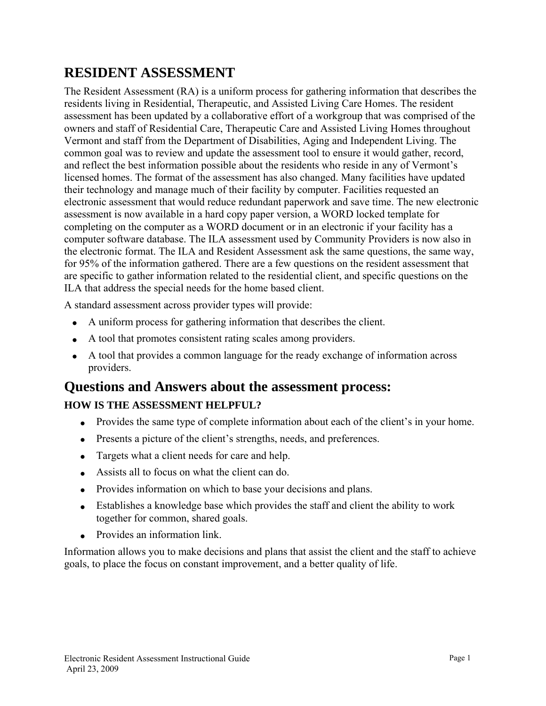# **RESIDENT ASSESSMENT**

The Resident Assessment (RA) is a uniform process for gathering information that describes the residents living in Residential, Therapeutic, and Assisted Living Care Homes. The resident assessment has been updated by a collaborative effort of a workgroup that was comprised of the owners and staff of Residential Care, Therapeutic Care and Assisted Living Homes throughout Vermont and staff from the Department of Disabilities, Aging and Independent Living. The common goal was to review and update the assessment tool to ensure it would gather, record, and reflect the best information possible about the residents who reside in any of Vermont's licensed homes. The format of the assessment has also changed. Many facilities have updated their technology and manage much of their facility by computer. Facilities requested an electronic assessment that would reduce redundant paperwork and save time. The new electronic assessment is now available in a hard copy paper version, a WORD locked template for completing on the computer as a WORD document or in an electronic if your facility has a computer software database. The ILA assessment used by Community Providers is now also in the electronic format. The ILA and Resident Assessment ask the same questions, the same way, for 95% of the information gathered. There are a few questions on the resident assessment that are specific to gather information related to the residential client, and specific questions on the ILA that address the special needs for the home based client.

A standard assessment across provider types will provide:

- A uniform process for gathering information that describes the client.
- A tool that promotes consistent rating scales among providers.
- A tool that provides a common language for the ready exchange of information across providers.

# **Questions and Answers about the assessment process:**

## **HOW IS THE ASSESSMENT HELPFUL?**

- Provides the same type of complete information about each of the client's in your home.
- Presents a picture of the client's strengths, needs, and preferences.
- Targets what a client needs for care and help.
- Assists all to focus on what the client can do.
- Provides information on which to base your decisions and plans.
- Establishes a knowledge base which provides the staff and client the ability to work together for common, shared goals.
- Provides an information link.

Information allows you to make decisions and plans that assist the client and the staff to achieve goals, to place the focus on constant improvement, and a better quality of life.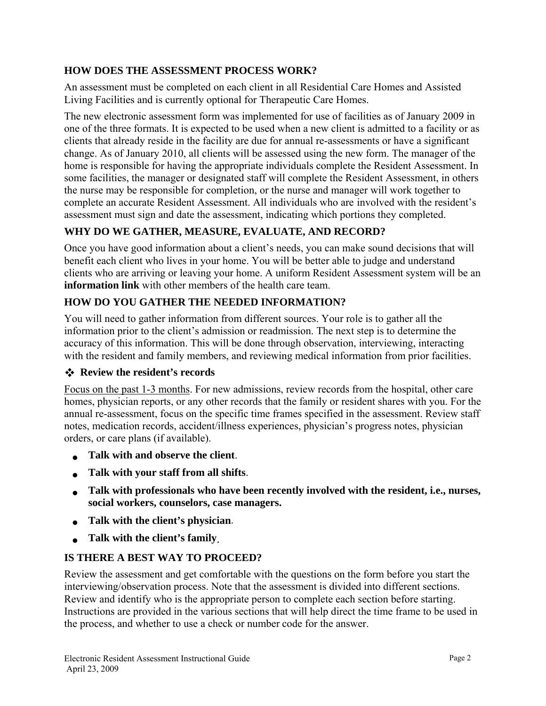#### **HOW DOES THE ASSESSMENT PROCESS WORK?**

An assessment must be completed on each client in all Residential Care Homes and Assisted Living Facilities and is currently optional for Therapeutic Care Homes.

The new electronic assessment form was implemented for use of facilities as of January 2009 in one of the three formats. It is expected to be used when a new client is admitted to a facility or as clients that already reside in the facility are due for annual re-assessments or have a significant change. As of January 2010, all clients will be assessed using the new form. The manager of the home is responsible for having the appropriate individuals complete the Resident Assessment. In some facilities, the manager or designated staff will complete the Resident Assessment, in others the nurse may be responsible for completion, or the nurse and manager will work together to complete an accurate Resident Assessment. All individuals who are involved with the resident's assessment must sign and date the assessment, indicating which portions they completed.

#### **WHY DO WE GATHER, MEASURE, EVALUATE, AND RECORD?**

Once you have good information about a client's needs, you can make sound decisions that will benefit each client who lives in your home. You will be better able to judge and understand clients who are arriving or leaving your home. A uniform Resident Assessment system will be an **information link** with other members of the health care team.

#### **HOW DO YOU GATHER THE NEEDED INFORMATION?**

You will need to gather information from different sources. Your role is to gather all the information prior to the client's admission or readmission. The next step is to determine the accuracy of this information. This will be done through observation, interviewing, interacting with the resident and family members, and reviewing medical information from prior facilities.

#### **Review the resident's records**

Focus on the past 1-3 months. For new admissions, review records from the hospital, other care homes, physician reports, or any other records that the family or resident shares with you. For the annual re-assessment, focus on the specific time frames specified in the assessment. Review staff notes, medication records, accident/illness experiences, physician's progress notes, physician orders, or care plans (if available).

- **Talk with and observe the client**.
- **Talk with your staff from all shifts**.
- **Talk with professionals who have been recently involved with the resident, i.e., nurses, social workers, counselors, case managers.**
- **Talk with the client's physician**.
- **Talk with the client's family**.

#### **IS THERE A BEST WAY TO PROCEED?**

Review the assessment and get comfortable with the questions on the form before you start the interviewing/observation process. Note that the assessment is divided into different sections. Review and identify who is the appropriate person to complete each section before starting. Instructions are provided in the various sections that will help direct the time frame to be used in the process, and whether to use a check or number code for the answer.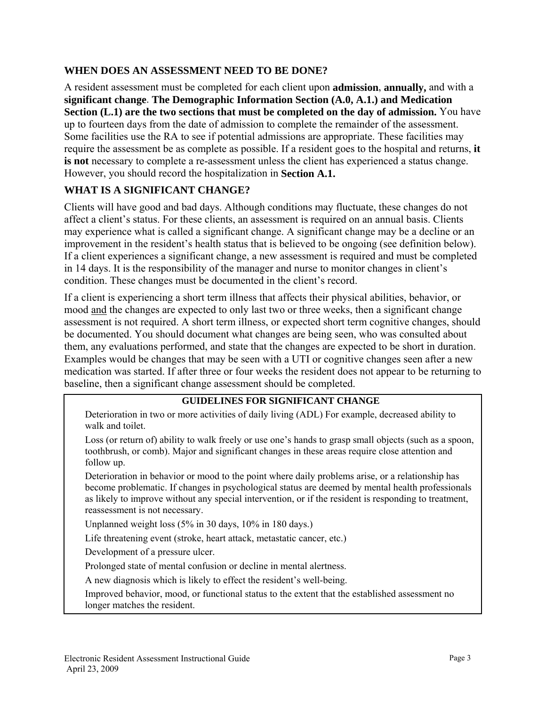#### **WHEN DOES AN ASSESSMENT NEED TO BE DONE?**

A resident assessment must be completed for each client upon **admission**, **annually,** and with a **significant change**. **The Demographic Information Section (A.0, A.1.) and Medication Section (L.1) are the two sections that must be completed on the day of admission.** You have up to fourteen days from the date of admission to complete the remainder of the assessment. Some facilities use the RA to see if potential admissions are appropriate. These facilities may require the assessment be as complete as possible. If a resident goes to the hospital and returns, **it is not** necessary to complete a re-assessment unless the client has experienced a status change. However, you should record the hospitalization in **Section A.1.** 

#### **WHAT IS A SIGNIFICANT CHANGE?**

Clients will have good and bad days. Although conditions may fluctuate, these changes do not affect a client's status. For these clients, an assessment is required on an annual basis. Clients may experience what is called a significant change. A significant change may be a decline or an improvement in the resident's health status that is believed to be ongoing (see definition below). If a client experiences a significant change, a new assessment is required and must be completed in 14 days. It is the responsibility of the manager and nurse to monitor changes in client's condition. These changes must be documented in the client's record.

If a client is experiencing a short term illness that affects their physical abilities, behavior, or mood and the changes are expected to only last two or three weeks, then a significant change assessment is not required. A short term illness, or expected short term cognitive changes, should be documented. You should document what changes are being seen, who was consulted about them, any evaluations performed, and state that the changes are expected to be short in duration. Examples would be changes that may be seen with a UTI or cognitive changes seen after a new medication was started. If after three or four weeks the resident does not appear to be returning to baseline, then a significant change assessment should be completed.

#### **GUIDELINES FOR SIGNIFICANT CHANGE**

 Deterioration in two or more activities of daily living (ADL) For example, decreased ability to walk and toilet.

 Loss (or return of) ability to walk freely or use one's hands to grasp small objects (such as a spoon, toothbrush, or comb). Major and significant changes in these areas require close attention and follow up.

 Deterioration in behavior or mood to the point where daily problems arise, or a relationship has become problematic. If changes in psychological status are deemed by mental health professionals as likely to improve without any special intervention, or if the resident is responding to treatment, reassessment is not necessary.

Unplanned weight loss (5% in 30 days, 10% in 180 days.)

Life threatening event (stroke, heart attack, metastatic cancer, etc.)

Development of a pressure ulcer.

Prolonged state of mental confusion or decline in mental alertness.

A new diagnosis which is likely to effect the resident's well-being.

 Improved behavior, mood, or functional status to the extent that the established assessment no longer matches the resident.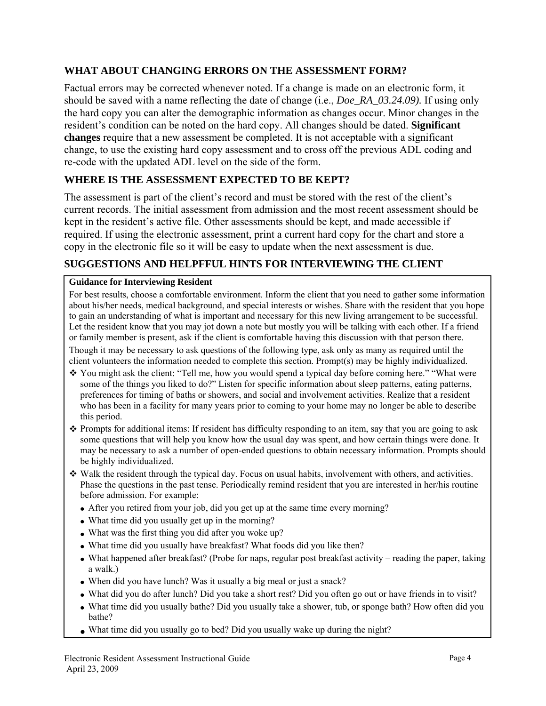#### **WHAT ABOUT CHANGING ERRORS ON THE ASSESSMENT FORM?**

Factual errors may be corrected whenever noted. If a change is made on an electronic form, it should be saved with a name reflecting the date of change (i.e., *Doe\_RA\_03.24.09).* If using only the hard copy you can alter the demographic information as changes occur. Minor changes in the resident's condition can be noted on the hard copy. All changes should be dated. **Significant changes** require that a new assessment be completed. It is not acceptable with a significant change, to use the existing hard copy assessment and to cross off the previous ADL coding and re-code with the updated ADL level on the side of the form.

#### **WHERE IS THE ASSESSMENT EXPECTED TO BE KEPT?**

The assessment is part of the client's record and must be stored with the rest of the client's current records. The initial assessment from admission and the most recent assessment should be kept in the resident's active file. Other assessments should be kept, and made accessible if required. If using the electronic assessment, print a current hard copy for the chart and store a copy in the electronic file so it will be easy to update when the next assessment is due.

#### **SUGGESTIONS AND HELPFFUL HINTS FOR INTERVIEWING THE CLIENT**

#### **Guidance for Interviewing Resident**

For best results, choose a comfortable environment. Inform the client that you need to gather some information about his/her needs, medical background, and special interests or wishes. Share with the resident that you hope to gain an understanding of what is important and necessary for this new living arrangement to be successful. Let the resident know that you may jot down a note but mostly you will be talking with each other. If a friend or family member is present, ask if the client is comfortable having this discussion with that person there.

Though it may be necessary to ask questions of the following type, ask only as many as required until the client volunteers the information needed to complete this section. Prompt(s) may be highly individualized.

- \* You might ask the client: "Tell me, how you would spend a typical day before coming here." "What were some of the things you liked to do?" Listen for specific information about sleep patterns, eating patterns, preferences for timing of baths or showers, and social and involvement activities. Realize that a resident who has been in a facility for many years prior to coming to your home may no longer be able to describe this period.
- Prompts for additional items: If resident has difficulty responding to an item, say that you are going to ask some questions that will help you know how the usual day was spent, and how certain things were done. It may be necessary to ask a number of open-ended questions to obtain necessary information. Prompts should be highly individualized.
- Walk the resident through the typical day. Focus on usual habits, involvement with others, and activities. Phase the questions in the past tense. Periodically remind resident that you are interested in her/his routine before admission. For example:
	- After you retired from your job, did you get up at the same time every morning?
	- What time did you usually get up in the morning?
	- What was the first thing you did after you woke up?
	- What time did you usually have breakfast? What foods did you like then?
	- What happened after breakfast? (Probe for naps, regular post breakfast activity reading the paper, taking a walk.)
	- When did you have lunch? Was it usually a big meal or just a snack?
	- What did you do after lunch? Did you take a short rest? Did you often go out or have friends in to visit?
	- What time did you usually bathe? Did you usually take a shower, tub, or sponge bath? How often did you bathe?
	- What time did you usually go to bed? Did you usually wake up during the night?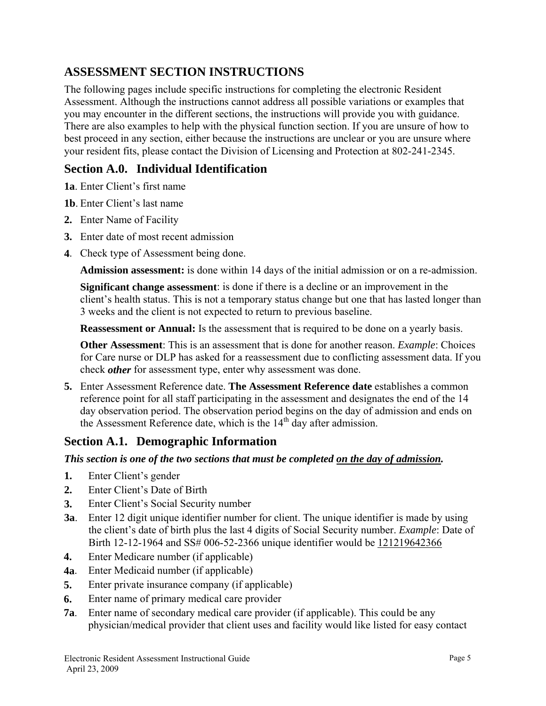## **ASSESSMENT SECTION INSTRUCTIONS**

The following pages include specific instructions for completing the electronic Resident Assessment. Although the instructions cannot address all possible variations or examples that you may encounter in the different sections, the instructions will provide you with guidance. There are also examples to help with the physical function section. If you are unsure of how to best proceed in any section, either because the instructions are unclear or you are unsure where your resident fits, please contact the Division of Licensing and Protection at 802-241-2345.

## **Section A.0. Individual Identification**

**1a**. Enter Client's first name

- **1b**. Enter Client's last name
- **2.** Enter Name of Facility
- **3.** Enter date of most recent admission
- **4**. Check type of Assessment being done.

**Admission assessment:** is done within 14 days of the initial admission or on a re-admission.

**Significant change assessment**: is done if there is a decline or an improvement in the client's health status. This is not a temporary status change but one that has lasted longer than 3 weeks and the client is not expected to return to previous baseline.

**Reassessment or Annual:** Is the assessment that is required to be done on a yearly basis.

**Other Assessment**: This is an assessment that is done for another reason. *Example*: Choices for Care nurse or DLP has asked for a reassessment due to conflicting assessment data. If you check *other* for assessment type, enter why assessment was done.

**5.** Enter Assessment Reference date. **The Assessment Reference date** establishes a common reference point for all staff participating in the assessment and designates the end of the 14 day observation period. The observation period begins on the day of admission and ends on the Assessment Reference date, which is the  $14<sup>th</sup>$  day after admission.

## **Section A.1. Demographic Information**

*This section is one of the two sections that must be completed on the day of admission.* 

- **1.** Enter Client's gender
- **2.** Enter Client's Date of Birth
- **3.** Enter Client's Social Security number
- **3a**. Enter 12 digit unique identifier number for client. The unique identifier is made by using the client's date of birth plus the last 4 digits of Social Security number. *Example*: Date of Birth 12-12-1964 and SS# 006-52-2366 unique identifier would be 121219642366
- **4.** Enter Medicare number (if applicable)
- **4a**. Enter Medicaid number (if applicable)
- **5.** Enter private insurance company (if applicable)
- **6.** Enter name of primary medical care provider
- **7a**. Enter name of secondary medical care provider (if applicable). This could be any physician/medical provider that client uses and facility would like listed for easy contact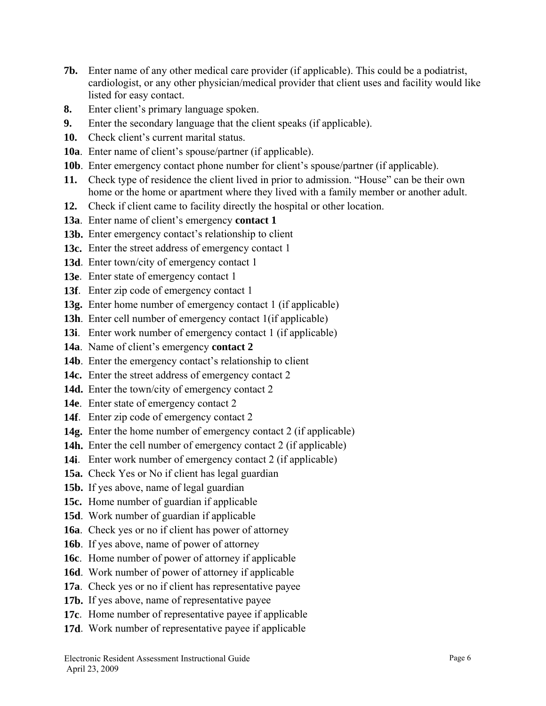- **7b.** Enter name of any other medical care provider (if applicable). This could be a podiatrist, cardiologist, or any other physician/medical provider that client uses and facility would like listed for easy contact.
- **8.** Enter client's primary language spoken.
- **9.** Enter the secondary language that the client speaks (if applicable).
- **10.** Check client's current marital status.
- **10a**. Enter name of client's spouse/partner (if applicable).
- **10b**. Enter emergency contact phone number for client's spouse/partner (if applicable).
- **11.** Check type of residence the client lived in prior to admission. "House" can be their own home or the home or apartment where they lived with a family member or another adult.
- **12.** Check if client came to facility directly the hospital or other location.
- **13a**. Enter name of client's emergency **contact 1**
- **13b.** Enter emergency contact's relationship to client
- **13c.** Enter the street address of emergency contact 1
- **13d**. Enter town/city of emergency contact 1
- **13e**. Enter state of emergency contact 1
- **13f**. Enter zip code of emergency contact 1
- **13g.** Enter home number of emergency contact 1 (if applicable)
- **13h**. Enter cell number of emergency contact 1(if applicable)
- **13i**. Enter work number of emergency contact 1 (if applicable)
- **14a**. Name of client's emergency **contact 2**
- **14b**. Enter the emergency contact's relationship to client
- **14c.** Enter the street address of emergency contact 2
- **14d.** Enter the town/city of emergency contact 2
- **14e**. Enter state of emergency contact 2
- 14f. Enter zip code of emergency contact 2
- **14g.** Enter the home number of emergency contact 2 (if applicable)
- 14h. Enter the cell number of emergency contact 2 (if applicable)
- **14i**. Enter work number of emergency contact 2 (if applicable)
- **15a.** Check Yes or No if client has legal guardian
- **15b.** If yes above, name of legal guardian
- **15c.** Home number of guardian if applicable
- **15d**. Work number of guardian if applicable
- **16a**. Check yes or no if client has power of attorney
- **16b**. If yes above, name of power of attorney
- **16c**. Home number of power of attorney if applicable
- **16d**. Work number of power of attorney if applicable
- **17a**. Check yes or no if client has representative payee
- **17b.** If yes above, name of representative payee
- **17c**. Home number of representative payee if applicable
- **17d**. Work number of representative payee if applicable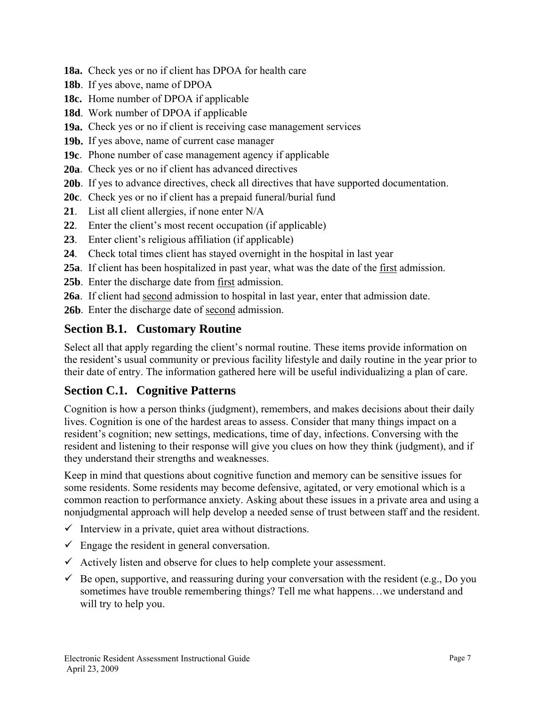- **18a.** Check yes or no if client has DPOA for health care
- **18b**. If yes above, name of DPOA
- **18c.** Home number of DPOA if applicable
- **18d**. Work number of DPOA if applicable
- **19a.** Check yes or no if client is receiving case management services
- **19b.** If yes above, name of current case manager
- **19c**. Phone number of case management agency if applicable
- **20a**. Check yes or no if client has advanced directives
- **20b**. If yes to advance directives, check all directives that have supported documentation.
- **20c**. Check yes or no if client has a prepaid funeral/burial fund
- **21**. List all client allergies, if none enter N/A
- **22**. Enter the client's most recent occupation (if applicable)
- **23**. Enter client's religious affiliation (if applicable)
- **24**. Check total times client has stayed overnight in the hospital in last year
- **25a**. If client has been hospitalized in past year, what was the date of the first admission.
- **25b**. Enter the discharge date from first admission.
- **26a**. If client had second admission to hospital in last year, enter that admission date.
- 26b. Enter the discharge date of second admission.

## **Section B.1. Customary Routine**

Select all that apply regarding the client's normal routine. These items provide information on the resident's usual community or previous facility lifestyle and daily routine in the year prior to their date of entry. The information gathered here will be useful individualizing a plan of care.

## **Section C.1. Cognitive Patterns**

Cognition is how a person thinks (judgment), remembers, and makes decisions about their daily lives. Cognition is one of the hardest areas to assess. Consider that many things impact on a resident's cognition; new settings, medications, time of day, infections. Conversing with the resident and listening to their response will give you clues on how they think (judgment), and if they understand their strengths and weaknesses.

Keep in mind that questions about cognitive function and memory can be sensitive issues for some residents. Some residents may become defensive, agitated, or very emotional which is a common reaction to performance anxiety. Asking about these issues in a private area and using a nonjudgmental approach will help develop a needed sense of trust between staff and the resident.

- $\checkmark$  Interview in a private, quiet area without distractions.
- $\checkmark$  Engage the resident in general conversation.
- $\checkmark$  Actively listen and observe for clues to help complete your assessment.
- $\checkmark$  Be open, supportive, and reassuring during your conversation with the resident (e.g., Do you sometimes have trouble remembering things? Tell me what happens…we understand and will try to help you.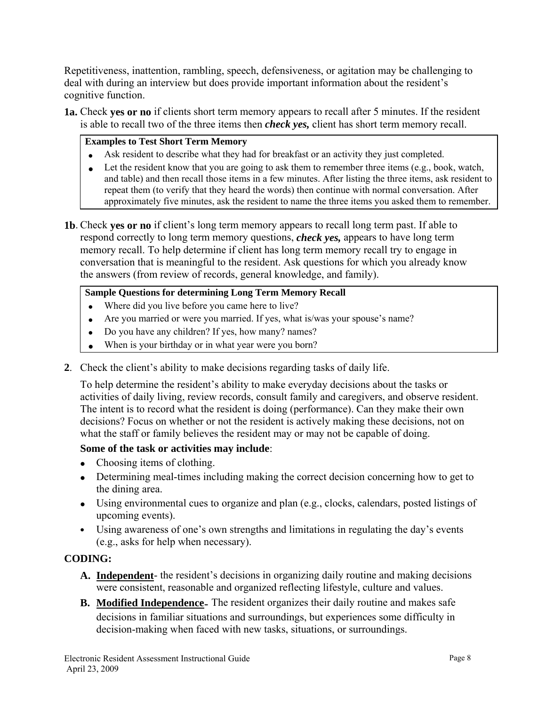Repetitiveness, inattention, rambling, speech, defensiveness, or agitation may be challenging to deal with during an interview but does provide important information about the resident's cognitive function.

**1a.** Check **yes or no** if clients short term memory appears to recall after 5 minutes. If the resident is able to recall two of the three items then *check yes,* client has short term memory recall.

#### **Examples to Test Short Term Memory**

- Ask resident to describe what they had for breakfast or an activity they just completed.
- Let the resident know that you are going to ask them to remember three items (e.g., book, watch, and table) and then recall those items in a few minutes. After listing the three items, ask resident to repeat them (to verify that they heard the words) then continue with normal conversation. After approximately five minutes, ask the resident to name the three items you asked them to remember.
- **1b**. Check **yes or no** if client's long term memory appears to recall long term past. If able to respond correctly to long term memory questions, *check yes,* appears to have long term memory recall. To help determine if client has long term memory recall try to engage in conversation that is meaningful to the resident. Ask questions for which you already know the answers (from review of records, general knowledge, and family).

#### **Sample Questions for determining Long Term Memory Recall**

- Where did you live before you came here to live?
- Are you married or were you married. If yes, what is/was your spouse's name?
- Do you have any children? If yes, how many? names?
- When is your birthday or in what year were you born?
- **2**. Check the client's ability to make decisions regarding tasks of daily life.

To help determine the resident's ability to make everyday decisions about the tasks or activities of daily living, review records, consult family and caregivers, and observe resident. The intent is to record what the resident is doing (performance). Can they make their own decisions? Focus on whether or not the resident is actively making these decisions, not on what the staff or family believes the resident may or may not be capable of doing.

#### **Some of the task or activities may include**:

- Choosing items of clothing.
- Determining meal-times including making the correct decision concerning how to get to the dining area.
- Using environmental cues to organize and plan (e.g., clocks, calendars, posted listings of upcoming events).
- Using awareness of one's own strengths and limitations in regulating the day's events (e.g., asks for help when necessary).

#### **CODING:**

- **A. Independent** the resident's decisions in organizing daily routine and making decisions were consistent, reasonable and organized reflecting lifestyle, culture and values.
- **B. Modified Independence** The resident organizes their daily routine and makes safe decisions in familiar situations and surroundings, but experiences some difficulty in decision-making when faced with new tasks, situations, or surroundings.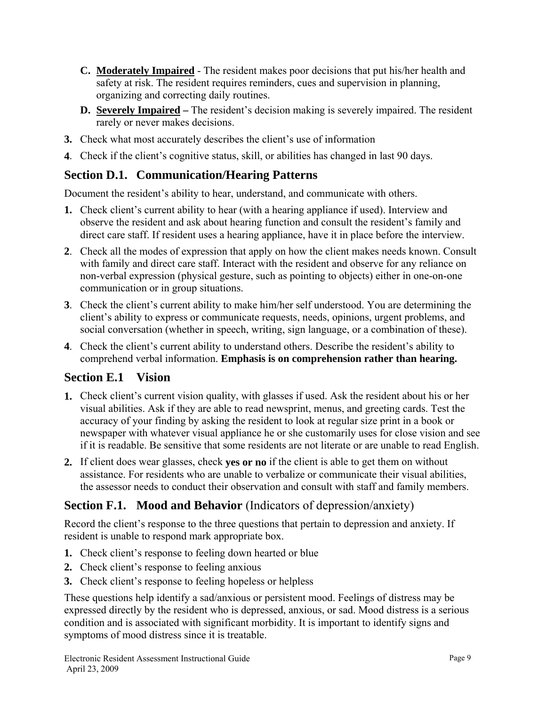- **C. Moderately Impaired** The resident makes poor decisions that put his/her health and safety at risk. The resident requires reminders, cues and supervision in planning, organizing and correcting daily routines.
- **D. Severely Impaired** The resident's decision making is severely impaired. The resident rarely or never makes decisions.
- **3.** Check what most accurately describes the client's use of information
- **4**. Check if the client's cognitive status, skill, or abilities has changed in last 90 days.

## **Section D.1. Communication/Hearing Patterns**

Document the resident's ability to hear, understand, and communicate with others.

- **1.** Check client's current ability to hear (with a hearing appliance if used). Interview and observe the resident and ask about hearing function and consult the resident's family and direct care staff. If resident uses a hearing appliance, have it in place before the interview.
- **2**. Check all the modes of expression that apply on how the client makes needs known. Consult with family and direct care staff. Interact with the resident and observe for any reliance on non-verbal expression (physical gesture, such as pointing to objects) either in one-on-one communication or in group situations.
- **3**. Check the client's current ability to make him/her self understood. You are determining the client's ability to express or communicate requests, needs, opinions, urgent problems, and social conversation (whether in speech, writing, sign language, or a combination of these).
- **4**. Check the client's current ability to understand others. Describe the resident's ability to comprehend verbal information. **Emphasis is on comprehension rather than hearing.**

## **Section E.1 Vision**

- **1.** Check client's current vision quality, with glasses if used. Ask the resident about his or her visual abilities. Ask if they are able to read newsprint, menus, and greeting cards. Test the accuracy of your finding by asking the resident to look at regular size print in a book or newspaper with whatever visual appliance he or she customarily uses for close vision and see if it is readable. Be sensitive that some residents are not literate or are unable to read English.
- **2.** If client does wear glasses, check **yes or no** if the client is able to get them on without assistance. For residents who are unable to verbalize or communicate their visual abilities, the assessor needs to conduct their observation and consult with staff and family members.

## **Section F.1. Mood and Behavior** (Indicators of depression/anxiety)

Record the client's response to the three questions that pertain to depression and anxiety. If resident is unable to respond mark appropriate box.

- **1.** Check client's response to feeling down hearted or blue
- **2.** Check client's response to feeling anxious
- **3.** Check client's response to feeling hopeless or helpless

These questions help identify a sad/anxious or persistent mood. Feelings of distress may be expressed directly by the resident who is depressed, anxious, or sad. Mood distress is a serious condition and is associated with significant morbidity. It is important to identify signs and symptoms of mood distress since it is treatable.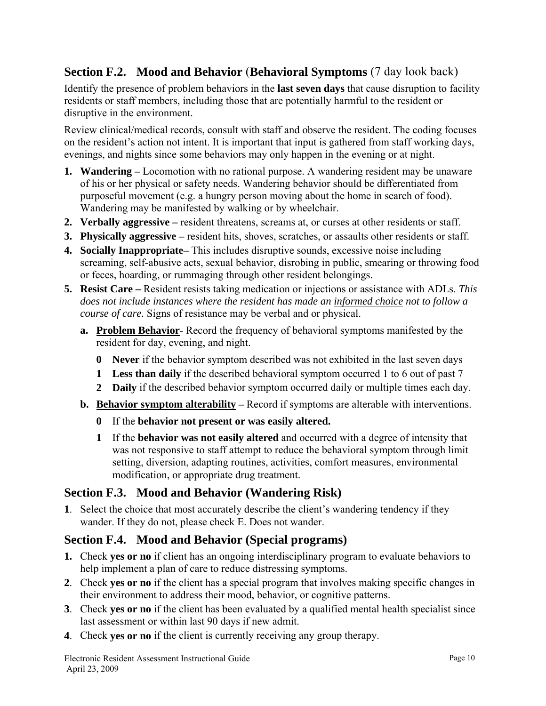## **Section F.2. Mood and Behavior** (**Behavioral Symptoms** (7 day look back)

Identify the presence of problem behaviors in the **last seven days** that cause disruption to facility residents or staff members, including those that are potentially harmful to the resident or disruptive in the environment.

Review clinical/medical records, consult with staff and observe the resident. The coding focuses on the resident's action not intent. It is important that input is gathered from staff working days, evenings, and nights since some behaviors may only happen in the evening or at night.

- **1. Wandering** Locomotion with no rational purpose. A wandering resident may be unaware of his or her physical or safety needs. Wandering behavior should be differentiated from purposeful movement (e.g. a hungry person moving about the home in search of food). Wandering may be manifested by walking or by wheelchair.
- **2. Verbally aggressive –** resident threatens, screams at, or curses at other residents or staff.
- **3. Physically aggressive –** resident hits, shoves, scratches, or assaults other residents or staff.
- **4. Socially Inappropriate–** This includes disruptive sounds, excessive noise including screaming, self-abusive acts, sexual behavior, disrobing in public, smearing or throwing food or feces, hoarding, or rummaging through other resident belongings.
- **5. Resist Care –** Resident resists taking medication or injections or assistance with ADLs. *This does not include instances where the resident has made an informed choice not to follow a course of care.* Signs of resistance may be verbal and or physical.
	- **a. Problem Behavior** Record the frequency of behavioral symptoms manifested by the resident for day, evening, and night.
		- **0 Never** if the behavior symptom described was not exhibited in the last seven days
		- **1 Less than daily** if the described behavioral symptom occurred 1 to 6 out of past 7
		- **2 Daily** if the described behavior symptom occurred daily or multiple times each day.
	- **b. Behavior symptom alterability** Record if symptoms are alterable with interventions.
		- **0** If the **behavior not present or was easily altered.**
		- **1** If the **behavior was not easily altered** and occurred with a degree of intensity that was not responsive to staff attempt to reduce the behavioral symptom through limit setting, diversion, adapting routines, activities, comfort measures, environmental modification, or appropriate drug treatment.

## **Section F.3. Mood and Behavior (Wandering Risk)**

**1**. Select the choice that most accurately describe the client's wandering tendency if they wander. If they do not, please check E. Does not wander.

## **Section F.4. Mood and Behavior (Special programs)**

- **1.** Check **yes or no** if client has an ongoing interdisciplinary program to evaluate behaviors to help implement a plan of care to reduce distressing symptoms.
- **2**. Check **yes or no** if the client has a special program that involves making specific changes in their environment to address their mood, behavior, or cognitive patterns.
- **3**. Check **yes or no** if the client has been evaluated by a qualified mental health specialist since last assessment or within last 90 days if new admit.
- **4**. Check **yes or no** if the client is currently receiving any group therapy.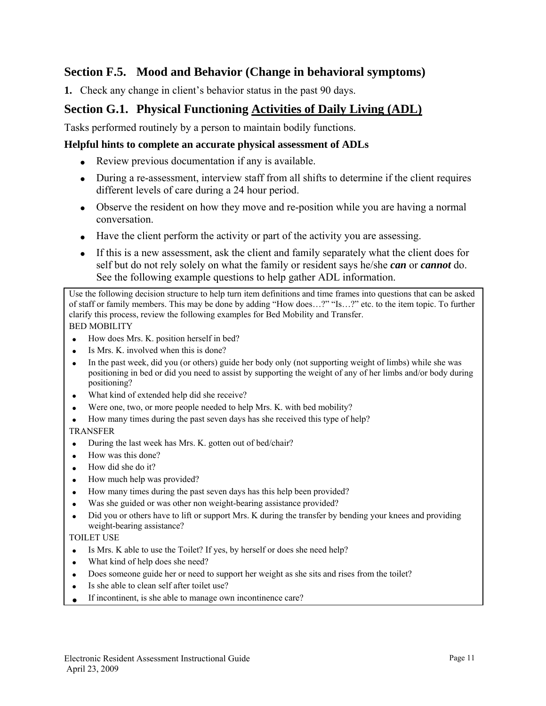## **Section F.5. Mood and Behavior (Change in behavioral symptoms)**

**1.** Check any change in client's behavior status in the past 90 days.

## **Section G.1. Physical Functioning Activities of Daily Living (ADL)**

Tasks performed routinely by a person to maintain bodily functions.

#### **Helpful hints to complete an accurate physical assessment of ADLs**

- Review previous documentation if any is available.
- During a re-assessment, interview staff from all shifts to determine if the client requires different levels of care during a 24 hour period.
- Observe the resident on how they move and re-position while you are having a normal conversation.
- Have the client perform the activity or part of the activity you are assessing.
- If this is a new assessment, ask the client and family separately what the client does for self but do not rely solely on what the family or resident says he/she *can* or *cannot* do. See the following example questions to help gather ADL information.

Use the following decision structure to help turn item definitions and time frames into questions that can be asked of staff or family members. This may be done by adding "How does…?" "Is…?" etc. to the item topic. To further clarify this process, review the following examples for Bed Mobility and Transfer. BED MOBILITY

- How does Mrs. K. position herself in bed?
- Is Mrs. K. involved when this is done?
- In the past week, did you (or others) guide her body only (not supporting weight of limbs) while she was positioning in bed or did you need to assist by supporting the weight of any of her limbs and/or body during positioning?
- What kind of extended help did she receive?
- Were one, two, or more people needed to help Mrs. K. with bed mobility?
- How many times during the past seven days has she received this type of help?
- TRANSFER
- During the last week has Mrs. K. gotten out of bed/chair?
- How was this done?
- How did she do it?
- How much help was provided?
- How many times during the past seven days has this help been provided?
- Was she guided or was other non weight-bearing assistance provided?
- Did you or others have to lift or support Mrs. K during the transfer by bending your knees and providing weight-bearing assistance?

#### TOILET USE

- Is Mrs. K able to use the Toilet? If yes, by herself or does she need help?
- What kind of help does she need?
- Does someone guide her or need to support her weight as she sits and rises from the toilet?
- Is she able to clean self after toilet use?
- If incontinent, is she able to manage own incontinence care?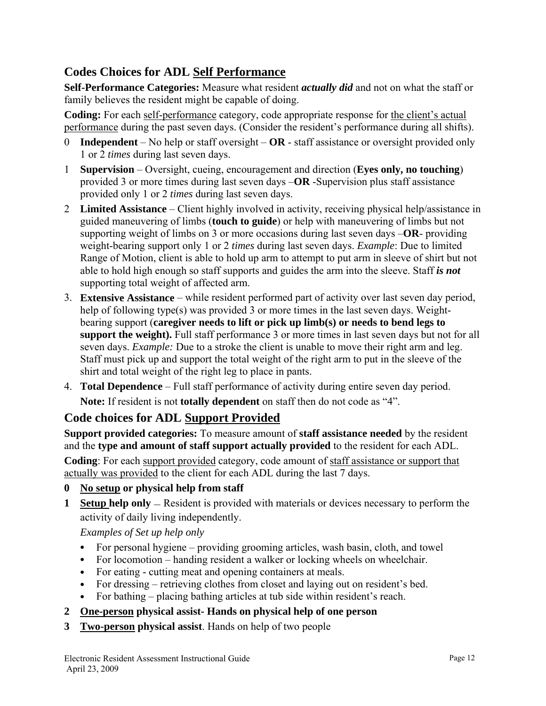## **Codes Choices for ADL Self Performance**

**Self-Performance Categories:** Measure what resident *actually did* and not on what the staff or family believes the resident might be capable of doing.

**Coding:** For each self-performance category, code appropriate response for the client's actual performance during the past seven days. (Consider the resident's performance during all shifts).

- 0 **Independent** No help or staff oversight **OR**  staff assistance or oversight provided only 1 or 2 *times* during last seven days.
- 1 **Supervision** Oversight, cueing, encouragement and direction (**Eyes only, no touching**) provided 3 or more times during last seven days –**OR** -Supervision plus staff assistance provided only 1 or 2 *times* during last seven days.
- 2 **Limited Assistance**  Client highly involved in activity, receiving physical help/assistance in guided maneuvering of limbs (**touch to guide**) or help with maneuvering of limbs but not supporting weight of limbs on 3 or more occasions during last seven days –**OR**- providing weight-bearing support only 1 or 2 *times* during last seven days. *Example*: Due to limited Range of Motion, client is able to hold up arm to attempt to put arm in sleeve of shirt but not able to hold high enough so staff supports and guides the arm into the sleeve. Staff *is not* supporting total weight of affected arm.
- 3. **Extensive Assistance** while resident performed part of activity over last seven day period, help of following type(s) was provided 3 or more times in the last seven days. Weightbearing support (**caregiver needs to lift or pick up limb(s) or needs to bend legs to support the weight).** Full staff performance 3 or more times in last seven days but not for all seven days. *Example:* Due to a stroke the client is unable to move their right arm and leg. Staff must pick up and support the total weight of the right arm to put in the sleeve of the shirt and total weight of the right leg to place in pants.
- 4. **Total Dependence** Full staff performance of activity during entire seven day period. **Note:** If resident is not **totally dependent** on staff then do not code as "4".

## **Code choices for ADL Support Provided**

**Support provided categories:** To measure amount of **staff assistance needed** by the resident and the **type and amount of staff support actually provided** to the resident for each ADL. **Coding**: For each support provided category, code amount of staff assistance or support that actually was provided to the client for each ADL during the last 7 days.

- **0 No setup or physical help from staff**
- **1 Setup help only** Resident is provided with materials or devices necessary to perform the activity of daily living independently.

*Examples of Set up help only*

- For personal hygiene providing grooming articles, wash basin, cloth, and towel
- For locomotion handing resident a walker or locking wheels on wheelchair.
- For eating cutting meat and opening containers at meals.
- For dressing retrieving clothes from closet and laying out on resident's bed.
- For bathing placing bathing articles at tub side within resident's reach.
- **2 One-person physical assist- Hands on physical help of one person**
- **3 Two-person physical assist**. Hands on help of two people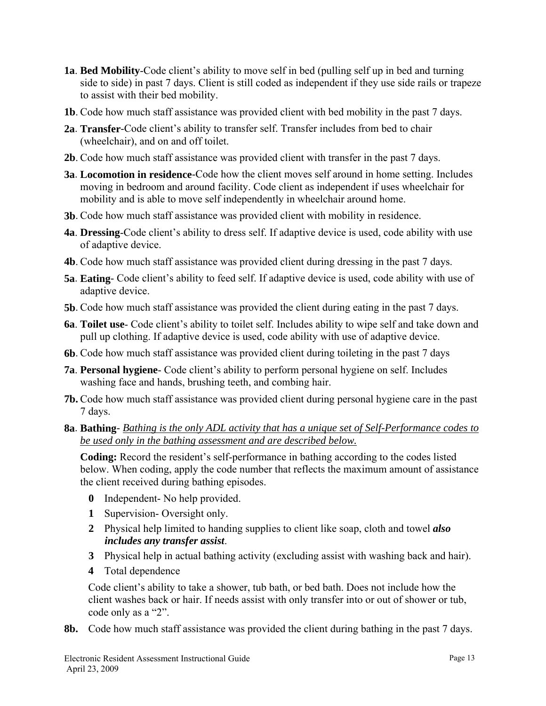- **1a**. **Bed Mobility**-Code client's ability to move self in bed (pulling self up in bed and turning side to side) in past 7 days. Client is still coded as independent if they use side rails or trapeze to assist with their bed mobility.
- **1b**. Code how much staff assistance was provided client with bed mobility in the past 7 days.
- **2a**. **Transfer**-Code client's ability to transfer self. Transfer includes from bed to chair (wheelchair), and on and off toilet.
- **2b**. Code how much staff assistance was provided client with transfer in the past 7 days.
- **3a**. **Locomotion in residence**-Code how the client moves self around in home setting. Includes moving in bedroom and around facility. Code client as independent if uses wheelchair for mobility and is able to move self independently in wheelchair around home.
- **3b**. Code how much staff assistance was provided client with mobility in residence.
- **4a**. **Dressing**-Code client's ability to dress self. If adaptive device is used, code ability with use of adaptive device.
- **4b**. Code how much staff assistance was provided client during dressing in the past 7 days.
- **5a**. **Eating** Code client's ability to feed self. If adaptive device is used, code ability with use of adaptive device.
- **5b**. Code how much staff assistance was provided the client during eating in the past 7 days.
- **6a**. **Toilet use** Code client's ability to toilet self. Includes ability to wipe self and take down and pull up clothing. If adaptive device is used, code ability with use of adaptive device.
- **6b**. Code how much staff assistance was provided client during toileting in the past 7 days
- **7a**. **Personal hygiene** Code client's ability to perform personal hygiene on self. Includes washing face and hands, brushing teeth, and combing hair.
- **7b.** Code how much staff assistance was provided client during personal hygiene care in the past 7 days.
- **8a**. **Bathing** *Bathing is the only ADL activity that has a unique set of Self-Performance codes to be used only in the bathing assessment and are described below.*

**Coding:** Record the resident's self-performance in bathing according to the codes listed below. When coding, apply the code number that reflects the maximum amount of assistance the client received during bathing episodes.

- **0** Independent- No help provided.
- **1** Supervision- Oversight only.
- **2** Physical help limited to handing supplies to client like soap, cloth and towel *also includes any transfer assist*.
- **3** Physical help in actual bathing activity (excluding assist with washing back and hair).
- **4** Total dependence

Code client's ability to take a shower, tub bath, or bed bath. Does not include how the client washes back or hair. If needs assist with only transfer into or out of shower or tub, code only as a "2".

**8b.** Code how much staff assistance was provided the client during bathing in the past 7 days.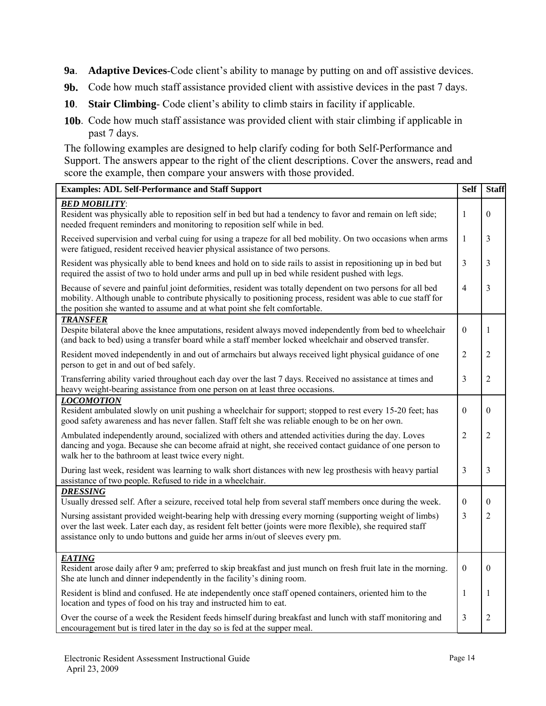- **9a**. **Adaptive Devices**-Code client's ability to manage by putting on and off assistive devices.
- **9b.** Code how much staff assistance provided client with assistive devices in the past 7 days.
- **10**. **Stair Climbing** Code client's ability to climb stairs in facility if applicable.
- **10b**. Code how much staff assistance was provided client with stair climbing if applicable in past 7 days.

The following examples are designed to help clarify coding for both Self-Performance and Support. The answers appear to the right of the client descriptions. Cover the answers, read and score the example, then compare your answers with those provided.

| <b>Examples: ADL Self-Performance and Staff Support</b>                                                                                                                                                                                                                                                  |                  |                |
|----------------------------------------------------------------------------------------------------------------------------------------------------------------------------------------------------------------------------------------------------------------------------------------------------------|------------------|----------------|
| <b>BED MOBILITY:</b><br>Resident was physically able to reposition self in bed but had a tendency to favor and remain on left side;<br>needed frequent reminders and monitoring to reposition self while in bed.                                                                                         | $\mathbf{1}$     | $\theta$       |
| Received supervision and verbal cuing for using a trapeze for all bed mobility. On two occasions when arms<br>were fatigued, resident received heavier physical assistance of two persons.                                                                                                               | $\mathbf{1}$     | 3              |
| Resident was physically able to bend knees and hold on to side rails to assist in repositioning up in bed but<br>required the assist of two to hold under arms and pull up in bed while resident pushed with legs.                                                                                       | 3                | 3              |
| Because of severe and painful joint deformities, resident was totally dependent on two persons for all bed<br>mobility. Although unable to contribute physically to positioning process, resident was able to cue staff for<br>the position she wanted to assume and at what point she felt comfortable. | $\overline{4}$   | 3              |
| <b>TRANSFER</b><br>Despite bilateral above the knee amputations, resident always moved independently from bed to wheelchair<br>(and back to bed) using a transfer board while a staff member locked wheelchair and observed transfer.                                                                    | $\boldsymbol{0}$ | 1              |
| Resident moved independently in and out of armchairs but always received light physical guidance of one<br>person to get in and out of bed safely.                                                                                                                                                       | $\overline{2}$   | $\overline{2}$ |
| Transferring ability varied throughout each day over the last 7 days. Received no assistance at times and<br>heavy weight-bearing assistance from one person on at least three occasions.                                                                                                                | $\overline{3}$   | $\overline{2}$ |
| <b>LOCOMOTION</b><br>Resident ambulated slowly on unit pushing a wheelchair for support; stopped to rest every 15-20 feet; has<br>good safety awareness and has never fallen. Staff felt she was reliable enough to be on her own.                                                                       | $\theta$         | $\theta$       |
| Ambulated independently around, socialized with others and attended activities during the day. Loves<br>dancing and yoga. Because she can become afraid at night, she received contact guidance of one person to<br>walk her to the bathroom at least twice every night.                                 | $\overline{2}$   | $\overline{2}$ |
| During last week, resident was learning to walk short distances with new leg prosthesis with heavy partial<br>assistance of two people. Refused to ride in a wheelchair.                                                                                                                                 | 3                | 3              |
| <b>DRESSING</b><br>Usually dressed self. After a seizure, received total help from several staff members once during the week.                                                                                                                                                                           | $\theta$         | $\theta$       |
| Nursing assistant provided weight-bearing help with dressing every morning (supporting weight of limbs)<br>over the last week. Later each day, as resident felt better (joints were more flexible), she required staff<br>assistance only to undo buttons and guide her arms in/out of sleeves every pm. | 3                | $\overline{2}$ |
| <b>EATING</b><br>Resident arose daily after 9 am; preferred to skip breakfast and just munch on fresh fruit late in the morning.<br>She ate lunch and dinner independently in the facility's dining room.                                                                                                | $\theta$         | $\theta$       |
| Resident is blind and confused. He ate independently once staff opened containers, oriented him to the<br>location and types of food on his tray and instructed him to eat.                                                                                                                              | 1                | 1              |
| Over the course of a week the Resident feeds himself during breakfast and lunch with staff monitoring and<br>encouragement but is tired later in the day so is fed at the supper meal.                                                                                                                   | 3                | $\overline{2}$ |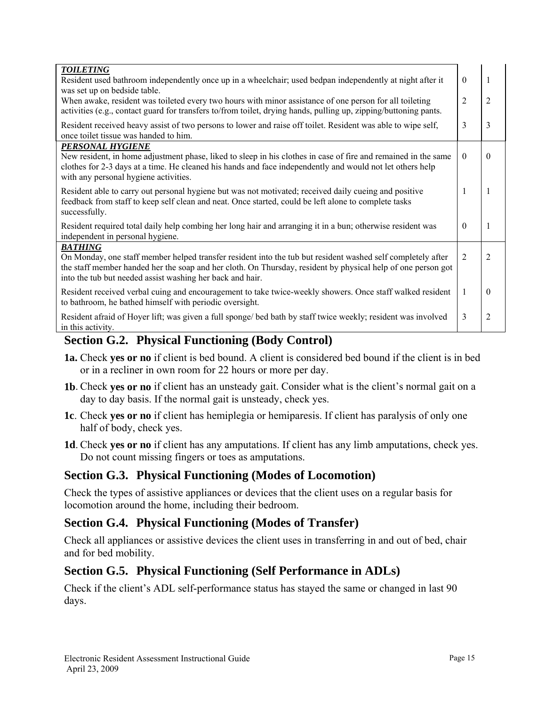| <b>TOILETING</b><br>Resident used bathroom independently once up in a wheelchair; used bedpan independently at night after it<br>was set up on bedside table.                                                                                                                                              | $\Omega$ |          |
|------------------------------------------------------------------------------------------------------------------------------------------------------------------------------------------------------------------------------------------------------------------------------------------------------------|----------|----------|
| When awake, resident was toileted every two hours with minor assistance of one person for all toileting<br>activities (e.g., contact guard for transfers to/from toilet, drying hands, pulling up, zipping/buttoning pants.                                                                                |          |          |
| Resident received heavy assist of two persons to lower and raise off toilet. Resident was able to wipe self,<br>once toilet tissue was handed to him.                                                                                                                                                      | 3        | 3        |
| PERSONAL HYGIENE<br>New resident, in home adjustment phase, liked to sleep in his clothes in case of fire and remained in the same<br>clothes for 2-3 days at a time. He cleaned his hands and face independently and would not let others help<br>with any personal hygiene activities.                   | $\theta$ | $\theta$ |
| Resident able to carry out personal hygiene but was not motivated; received daily cueing and positive<br>feedback from staff to keep self clean and neat. Once started, could be left alone to complete tasks<br>successfully.                                                                             |          |          |
| Resident required total daily help combing her long hair and arranging it in a bun; otherwise resident was<br>independent in personal hygiene.                                                                                                                                                             | $\Omega$ |          |
| <b>BATHING</b><br>On Monday, one staff member helped transfer resident into the tub but resident washed self completely after<br>the staff member handed her the soap and her cloth. On Thursday, resident by physical help of one person got<br>into the tub but needed assist washing her back and hair. | 2        | 2        |
| Resident received verbal cuing and encouragement to take twice-weekly showers. Once staff walked resident<br>to bathroom, he bathed himself with periodic oversight.                                                                                                                                       | 1        | $\theta$ |
| Resident afraid of Hoyer lift; was given a full sponge/bed bath by staff twice weekly; resident was involved<br>in this activity.                                                                                                                                                                          |          |          |

## **Section G.2. Physical Functioning (Body Control)**

- **1a.** Check **yes or no** if client is bed bound. A client is considered bed bound if the client is in bed or in a recliner in own room for 22 hours or more per day.
- **1b**. Check **yes or no** if client has an unsteady gait. Consider what is the client's normal gait on a day to day basis. If the normal gait is unsteady, check yes.
- **1c**. Check **yes or no** if client has hemiplegia or hemiparesis. If client has paralysis of only one half of body, check yes.
- **1d**. Check **yes or no** if client has any amputations. If client has any limb amputations, check yes. Do not count missing fingers or toes as amputations.

## **Section G.3. Physical Functioning (Modes of Locomotion)**

Check the types of assistive appliances or devices that the client uses on a regular basis for locomotion around the home, including their bedroom.

## **Section G.4. Physical Functioning (Modes of Transfer)**

Check all appliances or assistive devices the client uses in transferring in and out of bed, chair and for bed mobility.

## **Section G.5. Physical Functioning (Self Performance in ADLs)**

Check if the client's ADL self-performance status has stayed the same or changed in last 90 days.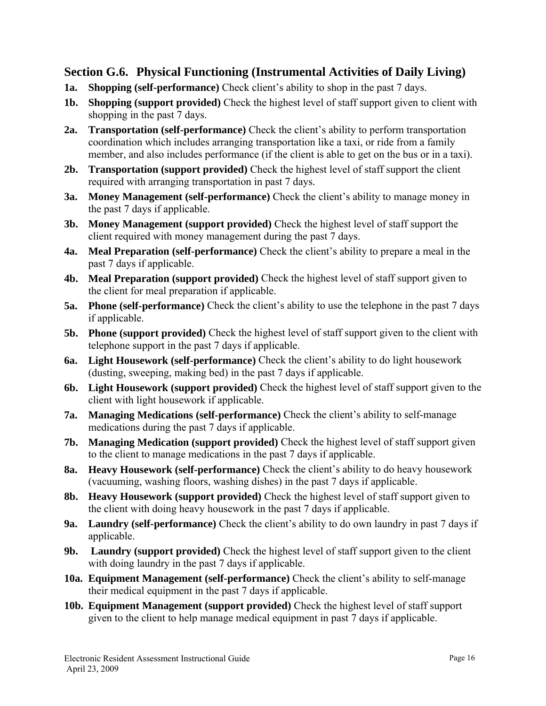#### **Section G.6. Physical Functioning (Instrumental Activities of Daily Living)**

- **1a. Shopping (self-performance)** Check client's ability to shop in the past 7 days.
- **1b.** Shopping (support provided) Check the highest level of staff support given to client with shopping in the past 7 days.
- **2a. Transportation (self-performance)** Check the client's ability to perform transportation coordination which includes arranging transportation like a taxi, or ride from a family member, and also includes performance (if the client is able to get on the bus or in a taxi).
- **2b. Transportation (support provided)** Check the highest level of staff support the client required with arranging transportation in past 7 days.
- **3a. Money Management (self-performance)** Check the client's ability to manage money in the past 7 days if applicable.
- **3b. Money Management (support provided)** Check the highest level of staff support the client required with money management during the past 7 days.
- **4a. Meal Preparation (self-performance)** Check the client's ability to prepare a meal in the past 7 days if applicable.
- **4b. Meal Preparation (support provided)** Check the highest level of staff support given to the client for meal preparation if applicable.
- **5a. Phone (self-performance)** Check the client's ability to use the telephone in the past 7 days if applicable.
- **5b.** Phone (support provided) Check the highest level of staff support given to the client with telephone support in the past 7 days if applicable.
- **6a. Light Housework (self-performance)** Check the client's ability to do light housework (dusting, sweeping, making bed) in the past 7 days if applicable.
- **6b. Light Housework (support provided)** Check the highest level of staff support given to the client with light housework if applicable.
- **7a. Managing Medications (self-performance)** Check the client's ability to self-manage medications during the past 7 days if applicable.
- **7b. Managing Medication (support provided)** Check the highest level of staff support given to the client to manage medications in the past 7 days if applicable.
- **8a. Heavy Housework (self-performance)** Check the client's ability to do heavy housework (vacuuming, washing floors, washing dishes) in the past 7 days if applicable.
- **8b. Heavy Housework (support provided)** Check the highest level of staff support given to the client with doing heavy housework in the past 7 days if applicable.
- **9a. Laundry (self-performance)** Check the client's ability to do own laundry in past 7 days if applicable.
- **9b. Laundry (support provided)** Check the highest level of staff support given to the client with doing laundry in the past 7 days if applicable.
- **10a. Equipment Management (self-performance)** Check the client's ability to self-manage their medical equipment in the past 7 days if applicable.
- **10b. Equipment Management (support provided)** Check the highest level of staff support given to the client to help manage medical equipment in past 7 days if applicable.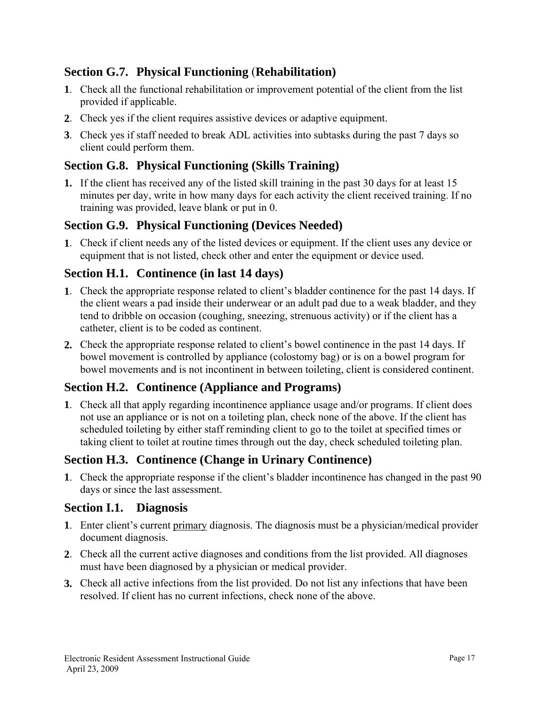## **Section G.7. Physical Functioning** (**Rehabilitation)**

- **1**. Check all the functional rehabilitation or improvement potential of the client from the list provided if applicable.
- **2**. Check yes if the client requires assistive devices or adaptive equipment.
- **3**. Check yes if staff needed to break ADL activities into subtasks during the past 7 days so client could perform them.

## **Section G.8. Physical Functioning (Skills Training)**

**1.** If the client has received any of the listed skill training in the past 30 days for at least 15 minutes per day, write in how many days for each activity the client received training. If no training was provided, leave blank or put in 0.

## **Section G.9. Physical Functioning (Devices Needed)**

**1**. Check if client needs any of the listed devices or equipment. If the client uses any device or equipment that is not listed, check other and enter the equipment or device used.

## **Section H.1. Continence (in last 14 days)**

- **1**. Check the appropriate response related to client's bladder continence for the past 14 days. If the client wears a pad inside their underwear or an adult pad due to a weak bladder, and they tend to dribble on occasion (coughing, sneezing, strenuous activity) or if the client has a catheter, client is to be coded as continent.
- **2.** Check the appropriate response related to client's bowel continence in the past 14 days. If bowel movement is controlled by appliance (colostomy bag) or is on a bowel program for bowel movements and is not incontinent in between toileting, client is considered continent.

## **Section H.2. Continence (Appliance and Programs)**

**1**. Check all that apply regarding incontinence appliance usage and/or programs. If client does not use an appliance or is not on a toileting plan, check none of the above. If the client has scheduled toileting by either staff reminding client to go to the toilet at specified times or taking client to toilet at routine times through out the day, check scheduled toileting plan.

## **Section H.3. Continence (Change in Urinary Continence)**

**1**. Check the appropriate response if the client's bladder incontinence has changed in the past 90 days or since the last assessment.

#### **Section I.1. Diagnosis**

- **1**. Enter client's current primary diagnosis. The diagnosis must be a physician/medical provider document diagnosis.
- **2**. Check all the current active diagnoses and conditions from the list provided. All diagnoses must have been diagnosed by a physician or medical provider.
- **3.** Check all active infections from the list provided. Do not list any infections that have been resolved. If client has no current infections, check none of the above.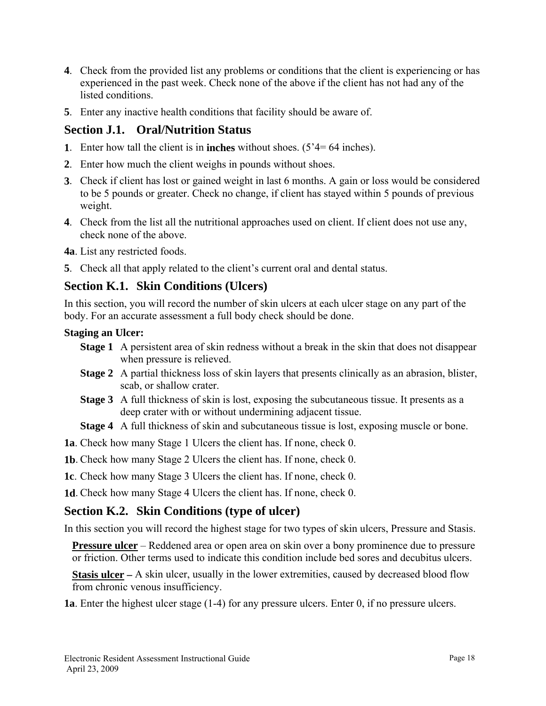- **4**. Check from the provided list any problems or conditions that the client is experiencing or has experienced in the past week. Check none of the above if the client has not had any of the listed conditions.
- **5**. Enter any inactive health conditions that facility should be aware of.

## **Section J.1. Oral/Nutrition Status**

- **1**. Enter how tall the client is in **inches** without shoes. (5'4= 64 inches).
- **2**. Enter how much the client weighs in pounds without shoes.
- **3**. Check if client has lost or gained weight in last 6 months. A gain or loss would be considered to be 5 pounds or greater. Check no change, if client has stayed within 5 pounds of previous weight.
- **4**. Check from the list all the nutritional approaches used on client. If client does not use any, check none of the above.

**4a**. List any restricted foods.

**5**. Check all that apply related to the client's current oral and dental status.

## **Section K.1. Skin Conditions (Ulcers)**

In this section, you will record the number of skin ulcers at each ulcer stage on any part of the body. For an accurate assessment a full body check should be done.

#### **Staging an Ulcer:**

- **Stage 1** A persistent area of skin redness without a break in the skin that does not disappear when pressure is relieved.
- **Stage 2** A partial thickness loss of skin layers that presents clinically as an abrasion, blister, scab, or shallow crater.
- **Stage 3** A full thickness of skin is lost, exposing the subcutaneous tissue. It presents as a deep crater with or without undermining adjacent tissue.
- **Stage 4** A full thickness of skin and subcutaneous tissue is lost, exposing muscle or bone.
- **1a**. Check how many Stage 1 Ulcers the client has. If none, check 0.
- **1b**. Check how many Stage 2 Ulcers the client has. If none, check 0.
- **1c**. Check how many Stage 3 Ulcers the client has. If none, check 0.

**1d**. Check how many Stage 4 Ulcers the client has. If none, check 0.

## **Section K.2. Skin Conditions (type of ulcer)**

In this section you will record the highest stage for two types of skin ulcers, Pressure and Stasis.

**Pressure ulcer** – Reddened area or open area on skin over a bony prominence due to pressure or friction. Other terms used to indicate this condition include bed sores and decubitus ulcers.

**Stasis ulcer** – A skin ulcer, usually in the lower extremities, caused by decreased blood flow from chronic venous insufficiency.

**1a**. Enter the highest ulcer stage (1-4) for any pressure ulcers. Enter 0, if no pressure ulcers.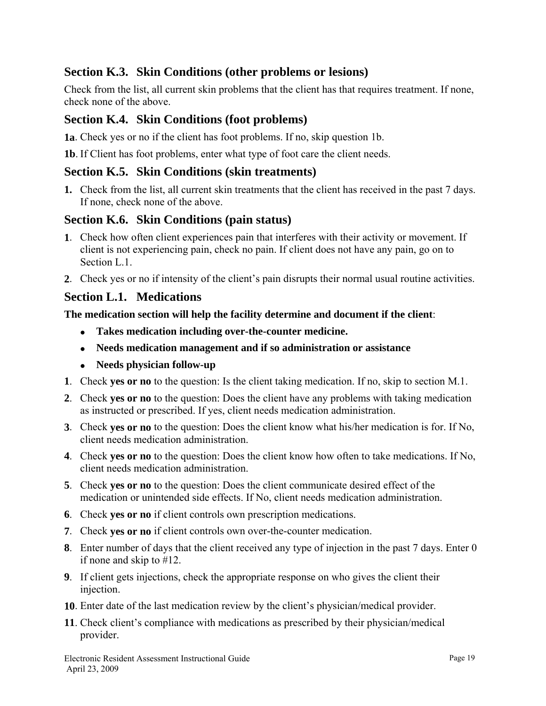## **Section K.3. Skin Conditions (other problems or lesions)**

Check from the list, all current skin problems that the client has that requires treatment. If none, check none of the above.

## **Section K.4. Skin Conditions (foot problems)**

**1a**. Check yes or no if the client has foot problems. If no, skip question 1b.

**1b**. If Client has foot problems, enter what type of foot care the client needs.

#### **Section K.5. Skin Conditions (skin treatments)**

**1.** Check from the list, all current skin treatments that the client has received in the past 7 days. If none, check none of the above.

## **Section K.6. Skin Conditions (pain status)**

- **1**. Check how often client experiences pain that interferes with their activity or movement. If client is not experiencing pain, check no pain. If client does not have any pain, go on to Section L<sub>1</sub>
- **2**. Check yes or no if intensity of the client's pain disrupts their normal usual routine activities.

#### **Section L.1. Medications**

**The medication section will help the facility determine and document if the client**:

- **Takes medication including over-the-counter medicine.**
- **Needs medication management and if so administration or assistance**
- **Needs physician follow-up**
- **1**. Check **yes or no** to the question: Is the client taking medication. If no, skip to section M.1.
- **2**. Check **yes or no** to the question: Does the client have any problems with taking medication as instructed or prescribed. If yes, client needs medication administration.
- **3**. Check **yes or no** to the question: Does the client know what his/her medication is for. If No, client needs medication administration.
- **4**. Check **yes or no** to the question: Does the client know how often to take medications. If No, client needs medication administration.
- **5**. Check **yes or no** to the question: Does the client communicate desired effect of the medication or unintended side effects. If No, client needs medication administration.
- **6**. Check **yes or no** if client controls own prescription medications.
- **7**. Check **yes or no** if client controls own over-the-counter medication.
- **8**. Enter number of days that the client received any type of injection in the past 7 days. Enter 0 if none and skip to #12.
- **9**. If client gets injections, check the appropriate response on who gives the client their injection.
- **10**. Enter date of the last medication review by the client's physician/medical provider.
- **11**. Check client's compliance with medications as prescribed by their physician/medical provider.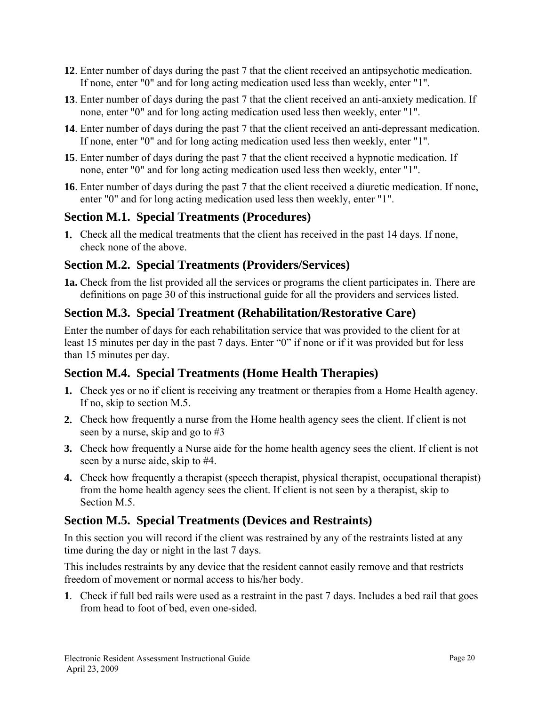- **12**. Enter number of days during the past 7 that the client received an antipsychotic medication. If none, enter "0" and for long acting medication used less than weekly, enter "1".
- **13**. Enter number of days during the past 7 that the client received an anti-anxiety medication. If none, enter "0" and for long acting medication used less then weekly, enter "1".
- **14**. Enter number of days during the past 7 that the client received an anti-depressant medication. If none, enter "0" and for long acting medication used less then weekly, enter "1".
- **15**. Enter number of days during the past 7 that the client received a hypnotic medication. If none, enter "0" and for long acting medication used less then weekly, enter "1".
- **16**. Enter number of days during the past 7 that the client received a diuretic medication. If none, enter "0" and for long acting medication used less then weekly, enter "1".

## **Section M.1. Special Treatments (Procedures)**

**1.** Check all the medical treatments that the client has received in the past 14 days. If none, check none of the above.

## **Section M.2. Special Treatments (Providers/Services)**

**1a.** Check from the list provided all the services or programs the client participates in. There are definitions on page 30 of this instructional guide for all the providers and services listed.

## **Section M.3. Special Treatment (Rehabilitation/Restorative Care)**

Enter the number of days for each rehabilitation service that was provided to the client for at least 15 minutes per day in the past 7 days. Enter "0" if none or if it was provided but for less than 15 minutes per day.

## **Section M.4. Special Treatments (Home Health Therapies)**

- **1.** Check yes or no if client is receiving any treatment or therapies from a Home Health agency. If no, skip to section M.5.
- **2.** Check how frequently a nurse from the Home health agency sees the client. If client is not seen by a nurse, skip and go to #3
- **3.** Check how frequently a Nurse aide for the home health agency sees the client. If client is not seen by a nurse aide, skip to #4.
- **4.** Check how frequently a therapist (speech therapist, physical therapist, occupational therapist) from the home health agency sees the client. If client is not seen by a therapist, skip to Section M.5.

## **Section M.5. Special Treatments (Devices and Restraints)**

In this section you will record if the client was restrained by any of the restraints listed at any time during the day or night in the last 7 days.

This includes restraints by any device that the resident cannot easily remove and that restricts freedom of movement or normal access to his/her body.

**1**. Check if full bed rails were used as a restraint in the past 7 days. Includes a bed rail that goes from head to foot of bed, even one-sided.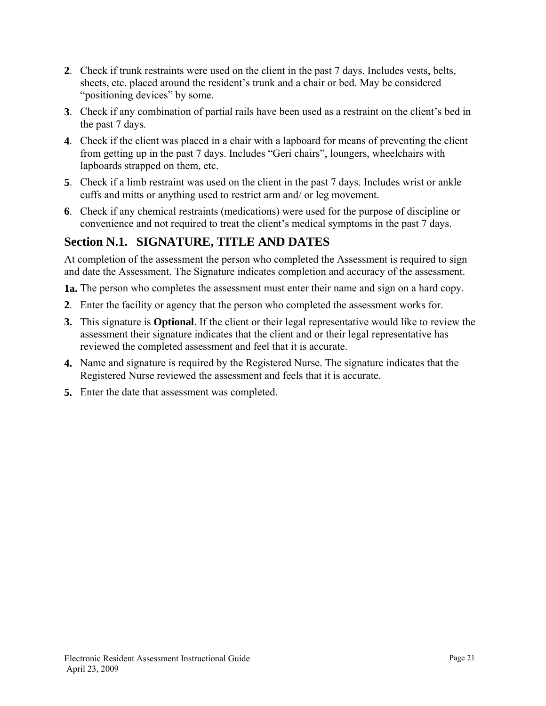- **2**. Check if trunk restraints were used on the client in the past 7 days. Includes vests, belts, sheets, etc. placed around the resident's trunk and a chair or bed. May be considered "positioning devices" by some.
- **3**. Check if any combination of partial rails have been used as a restraint on the client's bed in the past 7 days.
- **4**. Check if the client was placed in a chair with a lapboard for means of preventing the client from getting up in the past 7 days. Includes "Geri chairs", loungers, wheelchairs with lapboards strapped on them, etc.
- **5**. Check if a limb restraint was used on the client in the past 7 days. Includes wrist or ankle cuffs and mitts or anything used to restrict arm and/ or leg movement.
- **6**. Check if any chemical restraints (medications) were used for the purpose of discipline or convenience and not required to treat the client's medical symptoms in the past 7 days.

## **Section N.1. SIGNATURE, TITLE AND DATES**

At completion of the assessment the person who completed the Assessment is required to sign and date the Assessment. The Signature indicates completion and accuracy of the assessment.

**1a.** The person who completes the assessment must enter their name and sign on a hard copy.

- **2**. Enter the facility or agency that the person who completed the assessment works for.
- **3.** This signature is **Optional**. If the client or their legal representative would like to review the assessment their signature indicates that the client and or their legal representative has reviewed the completed assessment and feel that it is accurate.
- **4.** Name and signature is required by the Registered Nurse. The signature indicates that the Registered Nurse reviewed the assessment and feels that it is accurate.
- **5.** Enter the date that assessment was completed.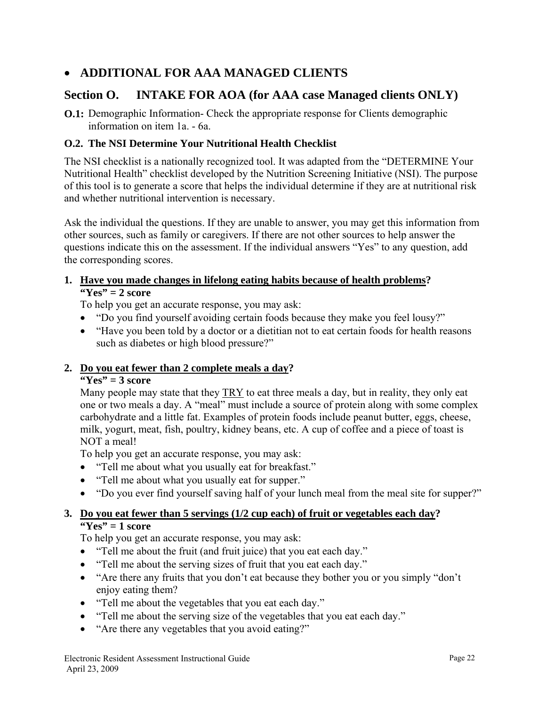## • **ADDITIONAL FOR AAA MANAGED CLIENTS**

## **Section O. INTAKE FOR AOA (for AAA case Managed clients ONLY)**

**O.1:** Demographic Information- Check the appropriate response for Clients demographic information on item 1a. - 6a.

#### **O.2. The NSI Determine Your Nutritional Health Checklist**

The NSI checklist is a nationally recognized tool. It was adapted from the "DETERMINE Your Nutritional Health" checklist developed by the Nutrition Screening Initiative (NSI). The purpose of this tool is to generate a score that helps the individual determine if they are at nutritional risk and whether nutritional intervention is necessary.

Ask the individual the questions. If they are unable to answer, you may get this information from other sources, such as family or caregivers. If there are not other sources to help answer the questions indicate this on the assessment. If the individual answers "Yes" to any question, add the corresponding scores.

#### **1. Have you made changes in lifelong eating habits because of health problems? "Yes" = 2 score**

To help you get an accurate response, you may ask:

- "Do you find yourself avoiding certain foods because they make you feel lousy?"
- "Have you been told by a doctor or a dietitian not to eat certain foods for health reasons such as diabetes or high blood pressure?"

#### **2. Do you eat fewer than 2 complete meals a day?**

#### **"Yes" = 3 score**

Many people may state that they TRY to eat three meals a day, but in reality, they only eat one or two meals a day. A "meal" must include a source of protein along with some complex carbohydrate and a little fat. Examples of protein foods include peanut butter, eggs, cheese, milk, yogurt, meat, fish, poultry, kidney beans, etc. A cup of coffee and a piece of toast is NOT a meal!

To help you get an accurate response, you may ask:

- "Tell me about what you usually eat for breakfast."
- "Tell me about what you usually eat for supper."
- "Do you ever find yourself saving half of your lunch meal from the meal site for supper?"

#### **3. Do you eat fewer than 5 servings (1/2 cup each) of fruit or vegetables each day? "Yes" = 1 score**

To help you get an accurate response, you may ask:

- "Tell me about the fruit (and fruit juice) that you eat each day."
- "Tell me about the serving sizes of fruit that you eat each day."
- "Are there any fruits that you don't eat because they bother you or you simply "don't enjoy eating them?
- "Tell me about the vegetables that you eat each day."
- "Tell me about the serving size of the vegetables that you eat each day."
- "Are there any vegetables that you avoid eating?"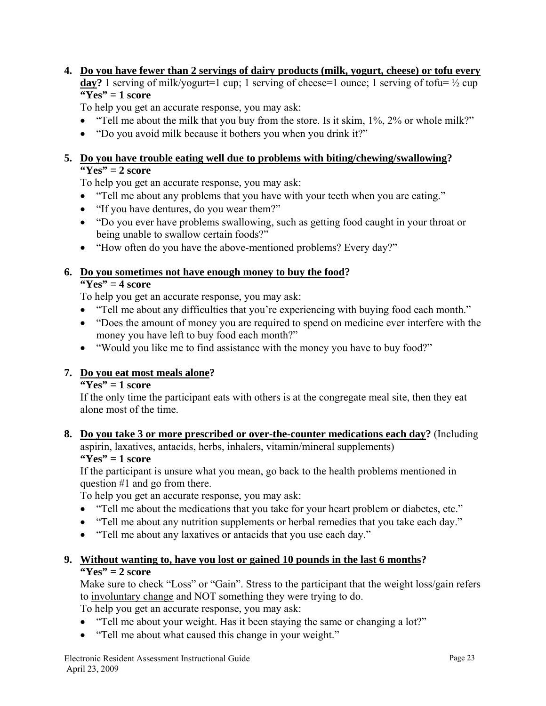## **4. Do you have fewer than 2 servings of dairy products (milk, yogurt, cheese) or tofu every day?** 1 serving of milk/yogurt=1 cup; 1 serving of cheese=1 ounce; 1 serving of tofu=  $\frac{1}{2}$  cup

## **"Yes" = 1 score**

To help you get an accurate response, you may ask:

- "Tell me about the milk that you buy from the store. Is it skim, 1%, 2% or whole milk?"
- "Do you avoid milk because it bothers you when you drink it?"

#### **5. Do you have trouble eating well due to problems with biting/chewing/swallowing? "Yes" = 2 score**

To help you get an accurate response, you may ask:

- "Tell me about any problems that you have with your teeth when you are eating."
- "If you have dentures, do you wear them?"
- "Do you ever have problems swallowing, such as getting food caught in your throat or being unable to swallow certain foods?"
- "How often do you have the above-mentioned problems? Every day?"

#### **6. Do you sometimes not have enough money to buy the food?**

#### **"Yes" = 4 score**

To help you get an accurate response, you may ask:

- "Tell me about any difficulties that you're experiencing with buying food each month."
- "Does the amount of money you are required to spend on medicine ever interfere with the money you have left to buy food each month?"
- "Would you like me to find assistance with the money you have to buy food?"

## **7. Do you eat most meals alone?**

#### **"Yes" = 1 score**

If the only time the participant eats with others is at the congregate meal site, then they eat alone most of the time.

## **8. Do you take 3 or more prescribed or over-the-counter medications each day?** (Including aspirin, laxatives, antacids, herbs, inhalers, vitamin/mineral supplements)

**"Yes" = 1 score** 

If the participant is unsure what you mean, go back to the health problems mentioned in question #1 and go from there.

To help you get an accurate response, you may ask:

- "Tell me about the medications that you take for your heart problem or diabetes, etc."
- "Tell me about any nutrition supplements or herbal remedies that you take each day."
- "Tell me about any laxatives or antacids that you use each day."

#### **9. Without wanting to, have you lost or gained 10 pounds in the last 6 months? "Yes" = 2 score**

Make sure to check "Loss" or "Gain". Stress to the participant that the weight loss/gain refers to involuntary change and NOT something they were trying to do.

To help you get an accurate response, you may ask:

- "Tell me about your weight. Has it been staying the same or changing a lot?"
- "Tell me about what caused this change in your weight."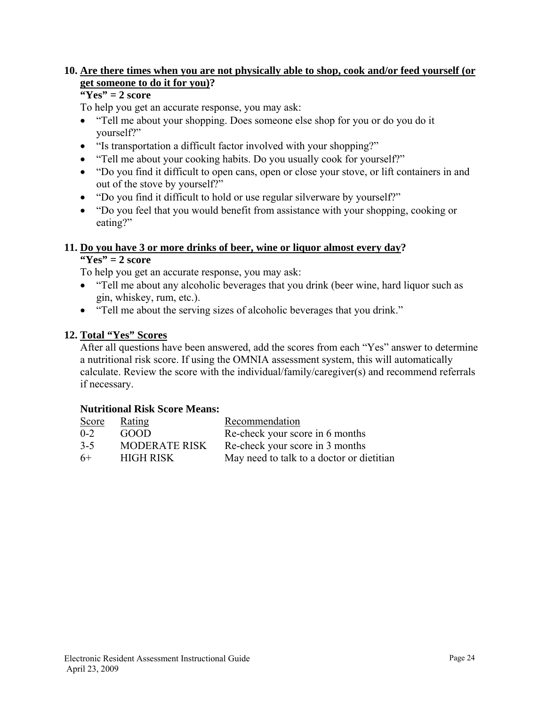#### **10. Are there times when you are not physically able to shop, cook and/or feed yourself (or get someone to do it for you)?**

#### **"Yes" = 2 score**

To help you get an accurate response, you may ask:

- "Tell me about your shopping. Does someone else shop for you or do you do it yourself?"
- "Is transportation a difficult factor involved with your shopping?"
- "Tell me about your cooking habits. Do you usually cook for yourself?"
- "Do you find it difficult to open cans, open or close your stove, or lift containers in and out of the stove by yourself?"
- "Do you find it difficult to hold or use regular silverware by yourself?"
- "Do you feel that you would benefit from assistance with your shopping, cooking or eating?"

#### **11. Do you have 3 or more drinks of beer, wine or liquor almost every day?**

**"Yes" = 2 score** 

To help you get an accurate response, you may ask:

- "Tell me about any alcoholic beverages that you drink (beer wine, hard liquor such as gin, whiskey, rum, etc.).
- "Tell me about the serving sizes of alcoholic beverages that you drink."

#### **12. Total "Yes" Scores**

After all questions have been answered, add the scores from each "Yes" answer to determine a nutritional risk score. If using the OMNIA assessment system, this will automatically calculate. Review the score with the individual/family/caregiver(s) and recommend referrals if necessary.

#### **Nutritional Risk Score Means:**

| Score   | <b>Rating</b>        | Recommendation                            |
|---------|----------------------|-------------------------------------------|
| $0 - 2$ | GOOD                 | Re-check your score in 6 months           |
| $3 - 5$ | <b>MODERATE RISK</b> | Re-check your score in 3 months           |
| 6+      | <b>HIGH RISK</b>     | May need to talk to a doctor or dietitian |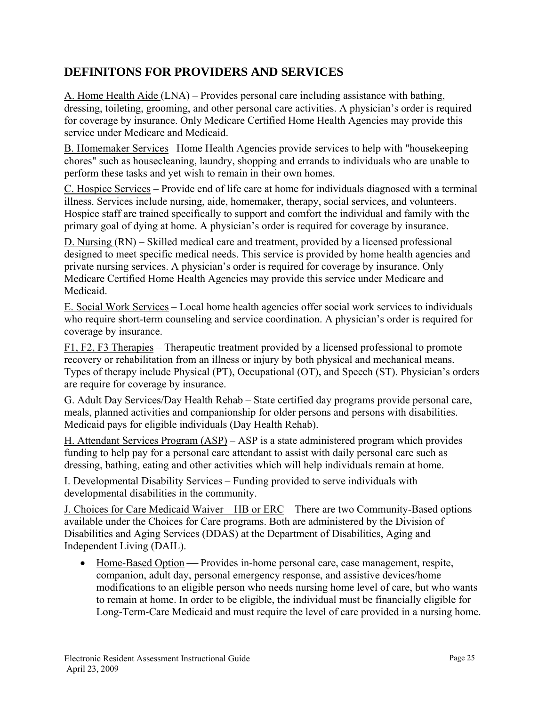## **DEFINITONS FOR PROVIDERS AND SERVICES**

A. Home Health Aide (LNA) – Provides personal care including assistance with bathing, dressing, toileting, grooming, and other personal care activities. A physician's order is required for coverage by insurance. Only Medicare Certified Home Health Agencies may provide this service under Medicare and Medicaid.

B. Homemaker Services– Home Health Agencies provide services to help with "housekeeping chores" such as housecleaning, laundry, shopping and errands to individuals who are unable to perform these tasks and yet wish to remain in their own homes.

C. Hospice Services – Provide end of life care at home for individuals diagnosed with a terminal illness. Services include nursing, aide, homemaker, therapy, social services, and volunteers. Hospice staff are trained specifically to support and comfort the individual and family with the primary goal of dying at home. A physician's order is required for coverage by insurance.

D. Nursing (RN) – Skilled medical care and treatment, provided by a licensed professional designed to meet specific medical needs. This service is provided by home health agencies and private nursing services. A physician's order is required for coverage by insurance. Only Medicare Certified Home Health Agencies may provide this service under Medicare and Medicaid.

E. Social Work Services – Local home health agencies offer social work services to individuals who require short-term counseling and service coordination. A physician's order is required for coverage by insurance.

F1, F2, F3 Therapies – Therapeutic treatment provided by a licensed professional to promote recovery or rehabilitation from an illness or injury by both physical and mechanical means. Types of therapy include Physical (PT), Occupational (OT), and Speech (ST). Physician's orders are require for coverage by insurance.

G. Adult Day Services/Day Health Rehab – State certified day programs provide personal care, meals, planned activities and companionship for older persons and persons with disabilities. Medicaid pays for eligible individuals (Day Health Rehab).

H. Attendant Services Program (ASP) – ASP is a state administered program which provides funding to help pay for a personal care attendant to assist with daily personal care such as dressing, bathing, eating and other activities which will help individuals remain at home.

I. Developmental Disability Services – Funding provided to serve individuals with developmental disabilities in the community.

J. Choices for Care Medicaid Waiver – HB or ERC – There are two Community-Based options available under the Choices for Care programs. Both are administered by the Division of Disabilities and Aging Services (DDAS) at the Department of Disabilities, Aging and Independent Living (DAIL).

• Home-Based Option — Provides in-home personal care, case management, respite, companion, adult day, personal emergency response, and assistive devices/home modifications to an eligible person who needs nursing home level of care, but who wants to remain at home. In order to be eligible, the individual must be financially eligible for Long-Term-Care Medicaid and must require the level of care provided in a nursing home.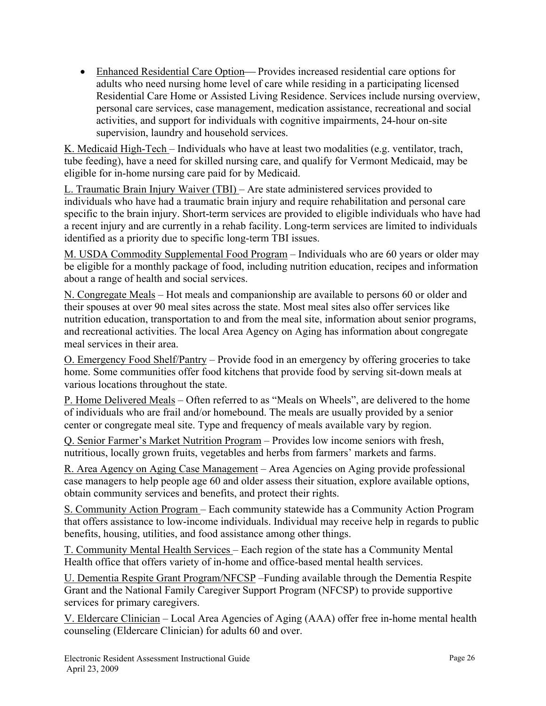• Enhanced Residential Care Option—Provides increased residential care options for adults who need nursing home level of care while residing in a participating licensed Residential Care Home or Assisted Living Residence. Services include nursing overview, personal care services, case management, medication assistance, recreational and social activities, and support for individuals with cognitive impairments, 24-hour on-site supervision, laundry and household services.

K. Medicaid High-Tech – Individuals who have at least two modalities (e.g. ventilator, trach, tube feeding), have a need for skilled nursing care, and qualify for Vermont Medicaid, may be eligible for in-home nursing care paid for by Medicaid.

L. Traumatic Brain Injury Waiver (TBI) – Are state administered services provided to individuals who have had a traumatic brain injury and require rehabilitation and personal care specific to the brain injury. Short-term services are provided to eligible individuals who have had a recent injury and are currently in a rehab facility. Long-term services are limited to individuals identified as a priority due to specific long-term TBI issues.

M. USDA Commodity Supplemental Food Program – Individuals who are 60 years or older may be eligible for a monthly package of food, including nutrition education, recipes and information about a range of health and social services.

N. Congregate Meals – Hot meals and companionship are available to persons 60 or older and their spouses at over 90 meal sites across the state. Most meal sites also offer services like nutrition education, transportation to and from the meal site, information about senior programs, and recreational activities. The local Area Agency on Aging has information about congregate meal services in their area.

O. Emergency Food Shelf/Pantry – Provide food in an emergency by offering groceries to take home. Some communities offer food kitchens that provide food by serving sit-down meals at various locations throughout the state.

P. Home Delivered Meals – Often referred to as "Meals on Wheels", are delivered to the home of individuals who are frail and/or homebound. The meals are usually provided by a senior center or congregate meal site. Type and frequency of meals available vary by region.

Q. Senior Farmer's Market Nutrition Program – Provides low income seniors with fresh, nutritious, locally grown fruits, vegetables and herbs from farmers' markets and farms.

R. Area Agency on Aging Case Management – Area Agencies on Aging provide professional case managers to help people age 60 and older assess their situation, explore available options, obtain community services and benefits, and protect their rights.

S. Community Action Program – Each community statewide has a Community Action Program that offers assistance to low-income individuals. Individual may receive help in regards to public benefits, housing, utilities, and food assistance among other things.

T. Community Mental Health Services – Each region of the state has a Community Mental Health office that offers variety of in-home and office-based mental health services.

U. Dementia Respite Grant Program/NFCSP –Funding available through the Dementia Respite Grant and the National Family Caregiver Support Program (NFCSP) to provide supportive services for primary caregivers.

V. Eldercare Clinician – Local Area Agencies of Aging (AAA) offer free in-home mental health counseling (Eldercare Clinician) for adults 60 and over.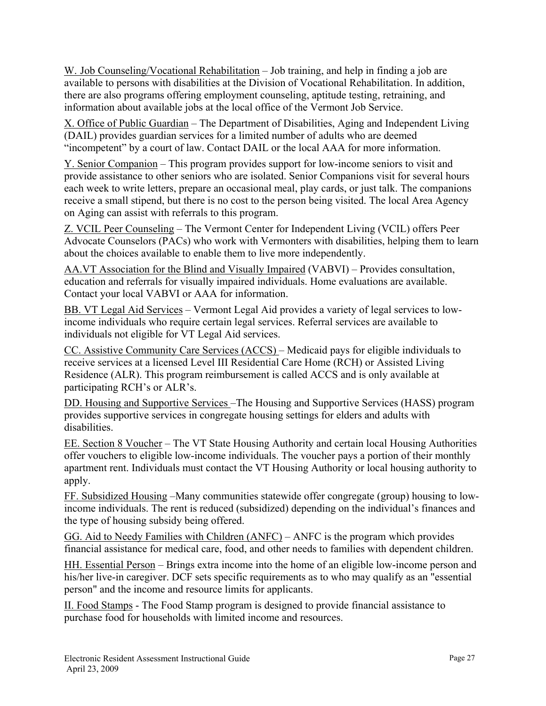W. Job Counseling/Vocational Rehabilitation – Job training, and help in finding a job are available to persons with disabilities at the Division of Vocational Rehabilitation. In addition, there are also programs offering employment counseling, aptitude testing, retraining, and information about available jobs at the local office of the Vermont Job Service.

X. Office of Public Guardian – The Department of Disabilities, Aging and Independent Living (DAIL) provides guardian services for a limited number of adults who are deemed "incompetent" by a court of law. Contact DAIL or the local AAA for more information.

Y. Senior Companion – This program provides support for low-income seniors to visit and provide assistance to other seniors who are isolated. Senior Companions visit for several hours each week to write letters, prepare an occasional meal, play cards, or just talk. The companions receive a small stipend, but there is no cost to the person being visited. The local Area Agency on Aging can assist with referrals to this program.

Z. VCIL Peer Counseling – The Vermont Center for Independent Living (VCIL) offers Peer Advocate Counselors (PACs) who work with Vermonters with disabilities, helping them to learn about the choices available to enable them to live more independently.

AA.VT Association for the Blind and Visually Impaired (VABVI) – Provides consultation, education and referrals for visually impaired individuals. Home evaluations are available. Contact your local VABVI or AAA for information.

BB. VT Legal Aid Services – Vermont Legal Aid provides a variety of legal services to lowincome individuals who require certain legal services. Referral services are available to individuals not eligible for VT Legal Aid services.

CC. Assistive Community Care Services (ACCS) – Medicaid pays for eligible individuals to receive services at a licensed Level III Residential Care Home (RCH) or Assisted Living Residence (ALR). This program reimbursement is called ACCS and is only available at participating RCH's or ALR's.

DD. Housing and Supportive Services –The Housing and Supportive Services (HASS) program provides supportive services in congregate housing settings for elders and adults with disabilities.

EE. Section 8 Voucher – The VT State Housing Authority and certain local Housing Authorities offer vouchers to eligible low-income individuals. The voucher pays a portion of their monthly apartment rent. Individuals must contact the VT Housing Authority or local housing authority to apply.

FF. Subsidized Housing –Many communities statewide offer congregate (group) housing to lowincome individuals. The rent is reduced (subsidized) depending on the individual's finances and the type of housing subsidy being offered.

GG. Aid to Needy Families with Children (ANFC) – ANFC is the program which provides financial assistance for medical care, food, and other needs to families with dependent children.

HH. Essential Person – Brings extra income into the home of an eligible low-income person and his/her live-in caregiver. DCF sets specific requirements as to who may qualify as an "essential" person" and the income and resource limits for applicants.

II. Food Stamps - The Food Stamp program is designed to provide financial assistance to purchase food for households with limited income and resources.